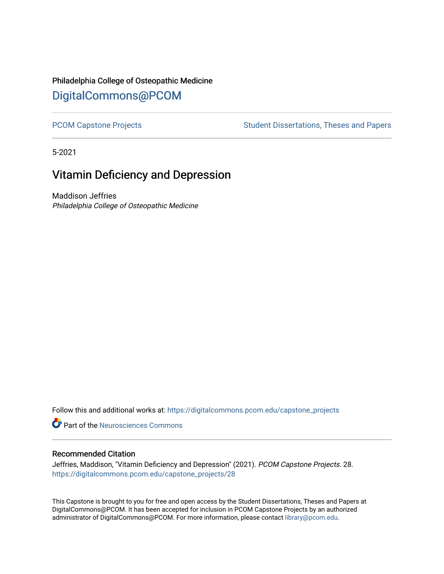# Philadelphia College of Osteopathic Medicine [DigitalCommons@PCOM](https://digitalcommons.pcom.edu/)

[PCOM Capstone Projects](https://digitalcommons.pcom.edu/capstone_projects) **Student Dissertations, Theses and Papers** Student Dissertations, Theses and Papers

5-2021

# Vitamin Deficiency and Depression

Maddison Jeffries Philadelphia College of Osteopathic Medicine

Follow this and additional works at: [https://digitalcommons.pcom.edu/capstone\\_projects](https://digitalcommons.pcom.edu/capstone_projects?utm_source=digitalcommons.pcom.edu%2Fcapstone_projects%2F28&utm_medium=PDF&utm_campaign=PDFCoverPages)

**C** Part of the Neurosciences Commons

#### Recommended Citation

Jeffries, Maddison, "Vitamin Deficiency and Depression" (2021). PCOM Capstone Projects. 28. [https://digitalcommons.pcom.edu/capstone\\_projects/28](https://digitalcommons.pcom.edu/capstone_projects/28?utm_source=digitalcommons.pcom.edu%2Fcapstone_projects%2F28&utm_medium=PDF&utm_campaign=PDFCoverPages) 

This Capstone is brought to you for free and open access by the Student Dissertations, Theses and Papers at DigitalCommons@PCOM. It has been accepted for inclusion in PCOM Capstone Projects by an authorized administrator of DigitalCommons@PCOM. For more information, please contact [library@pcom.edu.](mailto:library@pcom.edu)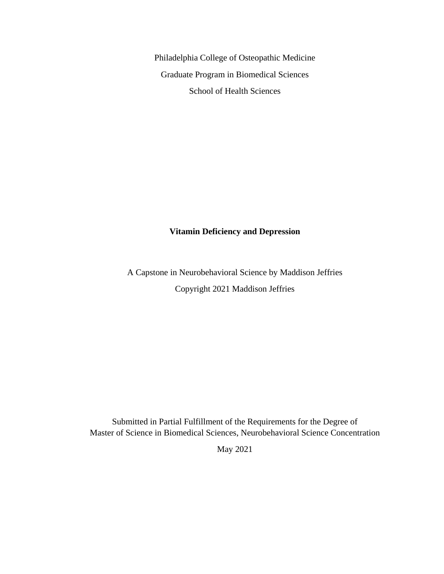Philadelphia College of Osteopathic Medicine Graduate Program in Biomedical Sciences School of Health Sciences

## **Vitamin Deficiency and Depression**

A Capstone in Neurobehavioral Science by Maddison Jeffries Copyright 2021 Maddison Jeffries

Submitted in Partial Fulfillment of the Requirements for the Degree of Master of Science in Biomedical Sciences, Neurobehavioral Science Concentration

May 2021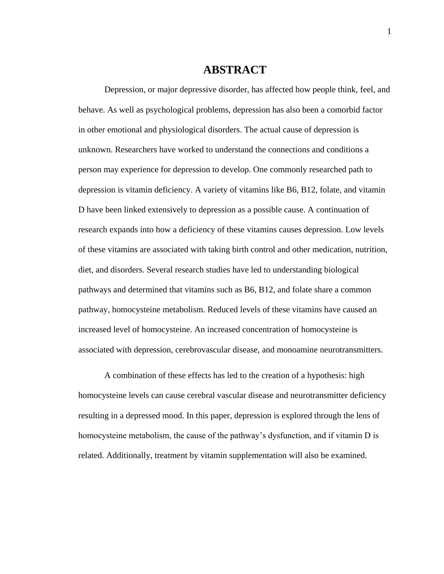## **ABSTRACT**

Depression, or major depressive disorder, has affected how people think, feel, and behave. As well as psychological problems, depression has also been a comorbid factor in other emotional and physiological disorders. The actual cause of depression is unknown. Researchers have worked to understand the connections and conditions a person may experience for depression to develop. One commonly researched path to depression is vitamin deficiency. A variety of vitamins like B6, B12, folate, and vitamin D have been linked extensively to depression as a possible cause. A continuation of research expands into how a deficiency of these vitamins causes depression. Low levels of these vitamins are associated with taking birth control and other medication, nutrition, diet, and disorders. Several research studies have led to understanding biological pathways and determined that vitamins such as B6, B12, and folate share a common pathway, homocysteine metabolism. Reduced levels of these vitamins have caused an increased level of homocysteine. An increased concentration of homocysteine is associated with depression, cerebrovascular disease, and monoamine neurotransmitters.

A combination of these effects has led to the creation of a hypothesis: high homocysteine levels can cause cerebral vascular disease and neurotransmitter deficiency resulting in a depressed mood. In this paper, depression is explored through the lens of homocysteine metabolism, the cause of the pathway's dysfunction, and if vitamin D is related. Additionally, treatment by vitamin supplementation will also be examined.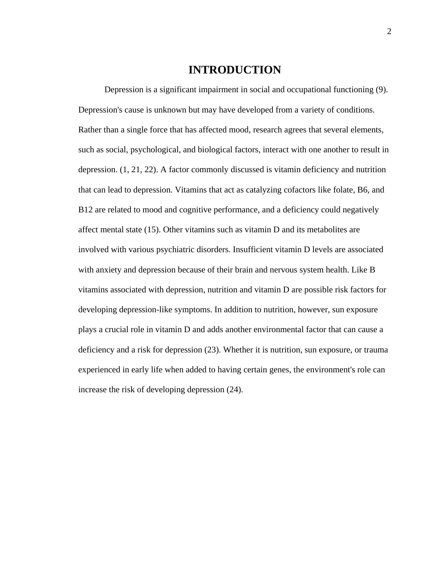## **INTRODUCTION**

Depression is a significant impairment in social and occupational functioning (9). Depression's cause is unknown but may have developed from a variety of conditions. Rather than a single force that has affected mood, research agrees that several elements, such as social, psychological, and biological factors, interact with one another to result in depression. (1, 21, 22). A factor commonly discussed is vitamin deficiency and nutrition that can lead to depression. Vitamins that act as catalyzing cofactors like folate, B6, and B12 are related to mood and cognitive performance, and a deficiency could negatively affect mental state (15). Other vitamins such as vitamin D and its metabolites are involved with various psychiatric disorders. Insufficient vitamin D levels are associated with anxiety and depression because of their brain and nervous system health. Like B vitamins associated with depression, nutrition and vitamin D are possible risk factors for developing depression-like symptoms. In addition to nutrition, however, sun exposure plays a crucial role in vitamin D and adds another environmental factor that can cause a deficiency and a risk for depression (23). Whether it is nutrition, sun exposure, or trauma experienced in early life when added to having certain genes, the environment's role can increase the risk of developing depression (24).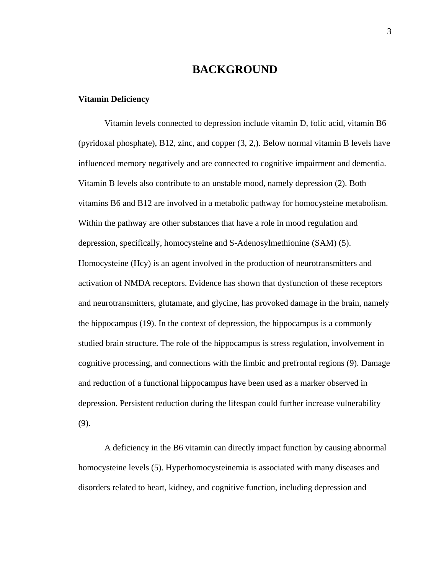# **BACKGROUND**

#### **Vitamin Deficiency**

Vitamin levels connected to depression include vitamin D, folic acid, vitamin B6 (pyridoxal phosphate), B12, zinc, and copper (3, 2,). Below normal vitamin B levels have influenced memory negatively and are connected to cognitive impairment and dementia. Vitamin B levels also contribute to an unstable mood, namely depression (2). Both vitamins B6 and B12 are involved in a metabolic pathway for homocysteine metabolism. Within the pathway are other substances that have a role in mood regulation and depression, specifically, homocysteine and S-Adenosylmethionine (SAM) (5). Homocysteine (Hcy) is an agent involved in the production of neurotransmitters and activation of NMDA receptors. Evidence has shown that dysfunction of these receptors and neurotransmitters, glutamate, and glycine, has provoked damage in the brain, namely the hippocampus (19). In the context of depression, the hippocampus is a commonly studied brain structure. The role of the hippocampus is stress regulation, involvement in cognitive processing, and connections with the limbic and prefrontal regions (9). Damage and reduction of a functional hippocampus have been used as a marker observed in depression. Persistent reduction during the lifespan could further increase vulnerability (9).

A deficiency in the B6 vitamin can directly impact function by causing abnormal homocysteine levels (5). Hyperhomocysteinemia is associated with many diseases and disorders related to heart, kidney, and cognitive function, including depression and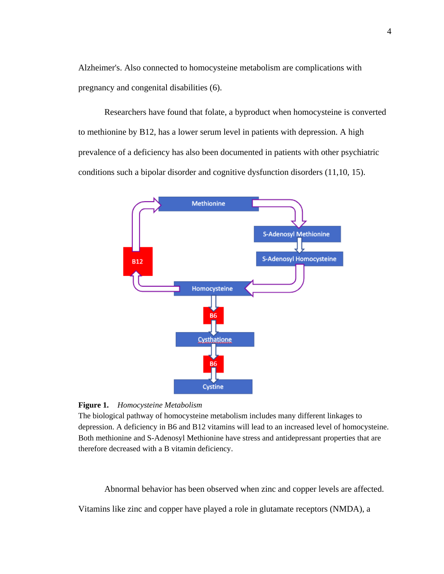Alzheimer's. Also connected to homocysteine metabolism are complications with pregnancy and congenital disabilities (6).

Researchers have found that folate, a byproduct when homocysteine is converted to methionine by B12, has a lower serum level in patients with depression. A high prevalence of a deficiency has also been documented in patients with other psychiatric conditions such a bipolar disorder and cognitive dysfunction disorders (11,10, 15).



**Figure 1.** *Homocysteine Metabolism*

The biological pathway of homocysteine metabolism includes many different linkages to depression. A deficiency in B6 and B12 vitamins will lead to an increased level of homocysteine. Both methionine and S-Adenosyl Methionine have stress and antidepressant properties that are therefore decreased with a B vitamin deficiency.

Abnormal behavior has been observed when zinc and copper levels are affected.

Vitamins like zinc and copper have played a role in glutamate receptors (NMDA), a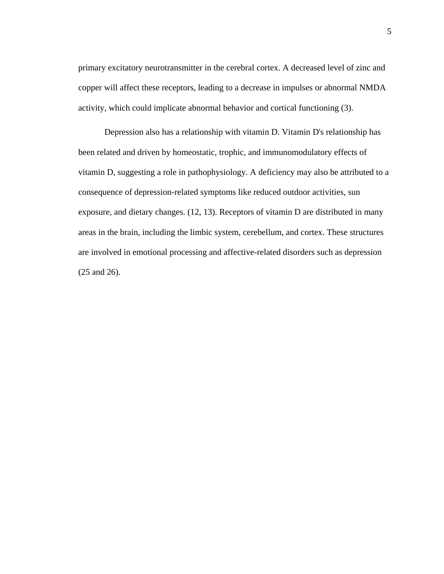primary excitatory neurotransmitter in the cerebral cortex. A decreased level of zinc and copper will affect these receptors, leading to a decrease in impulses or abnormal NMDA activity, which could implicate abnormal behavior and cortical functioning (3).

Depression also has a relationship with vitamin D. Vitamin D's relationship has been related and driven by homeostatic, trophic, and immunomodulatory effects of vitamin D, suggesting a role in pathophysiology. A deficiency may also be attributed to a consequence of depression-related symptoms like reduced outdoor activities, sun exposure, and dietary changes. (12, 13). Receptors of vitamin D are distributed in many areas in the brain, including the limbic system, cerebellum, and cortex. These structures are involved in emotional processing and affective-related disorders such as depression (25 and 26).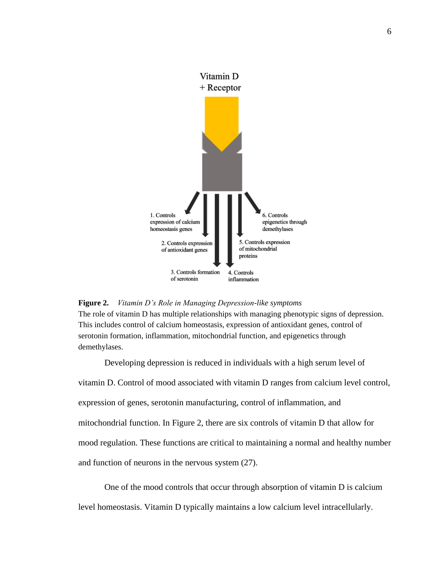

#### **Figure 2.** *Vitamin D's Role in Managing Depression-like symptoms*

The role of vitamin D has multiple relationships with managing phenotypic signs of depression. This includes control of calcium homeostasis, expression of antioxidant genes, control of serotonin formation, inflammation, mitochondrial function, and epigenetics through demethylases.

Developing depression is reduced in individuals with a high serum level of vitamin D. Control of mood associated with vitamin D ranges from calcium level control, expression of genes, serotonin manufacturing, control of inflammation, and mitochondrial function. In Figure 2, there are six controls of vitamin D that allow for mood regulation. These functions are critical to maintaining a normal and healthy number and function of neurons in the nervous system (27).

One of the mood controls that occur through absorption of vitamin D is calcium level homeostasis. Vitamin D typically maintains a low calcium level intracellularly.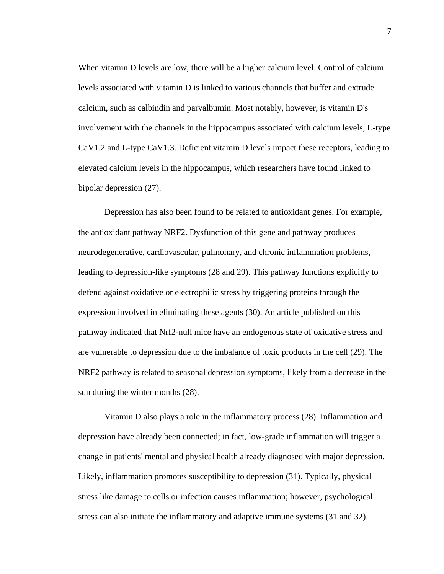When vitamin D levels are low, there will be a higher calcium level. Control of calcium levels associated with vitamin D is linked to various channels that buffer and extrude calcium, such as calbindin and parvalbumin. Most notably, however, is vitamin D's involvement with the channels in the hippocampus associated with calcium levels, L-type CaV1.2 and L-type CaV1.3. Deficient vitamin D levels impact these receptors, leading to elevated calcium levels in the hippocampus, which researchers have found linked to bipolar depression (27).

Depression has also been found to be related to antioxidant genes. For example, the antioxidant pathway NRF2. Dysfunction of this gene and pathway produces neurodegenerative, cardiovascular, pulmonary, and chronic inflammation problems, leading to depression-like symptoms (28 and 29). This pathway functions explicitly to defend against oxidative or electrophilic stress by triggering proteins through the expression involved in eliminating these agents (30). An article published on this pathway indicated that Nrf2-null mice have an endogenous state of oxidative stress and are vulnerable to depression due to the imbalance of toxic products in the cell (29). The NRF2 pathway is related to seasonal depression symptoms, likely from a decrease in the sun during the winter months (28).

Vitamin D also plays a role in the inflammatory process (28). Inflammation and depression have already been connected; in fact, low-grade inflammation will trigger a change in patients' mental and physical health already diagnosed with major depression. Likely, inflammation promotes susceptibility to depression (31). Typically, physical stress like damage to cells or infection causes inflammation; however, psychological stress can also initiate the inflammatory and adaptive immune systems (31 and 32).

7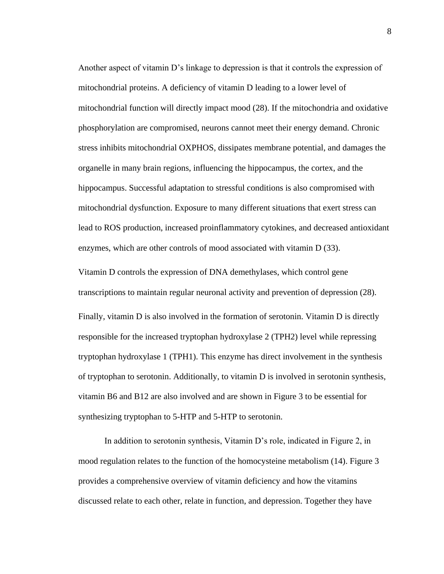Another aspect of vitamin D's linkage to depression is that it controls the expression of mitochondrial proteins. A deficiency of vitamin D leading to a lower level of mitochondrial function will directly impact mood (28). If the mitochondria and oxidative phosphorylation are compromised, neurons cannot meet their energy demand. Chronic stress inhibits mitochondrial OXPHOS, dissipates membrane potential, and damages the organelle in many brain regions, influencing the hippocampus, the cortex, and the hippocampus. Successful adaptation to stressful conditions is also compromised with mitochondrial dysfunction. Exposure to many different situations that exert stress can lead to ROS production, increased proinflammatory cytokines, and decreased antioxidant enzymes, which are other controls of mood associated with vitamin D (33).

Vitamin D controls the expression of DNA demethylases, which control gene transcriptions to maintain regular neuronal activity and prevention of depression (28). Finally, vitamin D is also involved in the formation of serotonin. Vitamin D is directly responsible for the increased tryptophan hydroxylase 2 (TPH2) level while repressing tryptophan hydroxylase 1 (TPH1). This enzyme has direct involvement in the synthesis of tryptophan to serotonin. Additionally, to vitamin D is involved in serotonin synthesis, vitamin B6 and B12 are also involved and are shown in Figure 3 to be essential for synthesizing tryptophan to 5-HTP and 5-HTP to serotonin.

In addition to serotonin synthesis, Vitamin D's role, indicated in Figure 2, in mood regulation relates to the function of the homocysteine metabolism (14). Figure 3 provides a comprehensive overview of vitamin deficiency and how the vitamins discussed relate to each other, relate in function, and depression. Together they have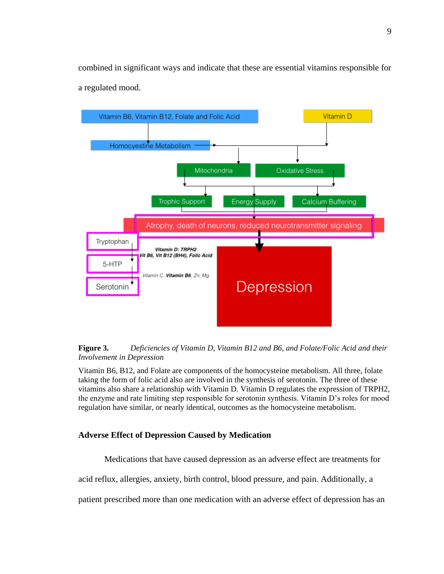combined in significant ways and indicate that these are essential vitamins responsible for a regulated mood.





Vitamin B6, B12, and Folate are components of the homocysteine metabolism. All three, folate taking the form of folic acid also are involved in the synthesis of serotonin. The three of these vitamins also share a relationship with Vitamin D. Vitamin D regulates the expression of TRPH2, the enzyme and rate limiting step responsible for serotonin synthesis. Vitamin D's roles for mood regulation have similar, or nearly identical, outcomes as the homocysteine metabolism.

#### **Adverse Effect of Depression Caused by Medication**

Medications that have caused depression as an adverse effect are treatments for

acid reflux, allergies, anxiety, birth control, blood pressure, and pain. Additionally, a

patient prescribed more than one medication with an adverse effect of depression has an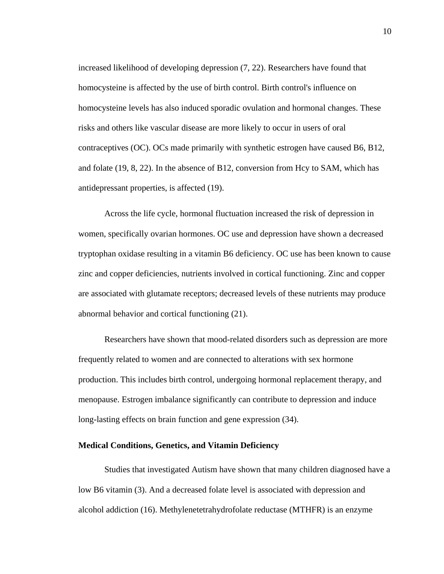increased likelihood of developing depression (7, 22). Researchers have found that homocysteine is affected by the use of birth control. Birth control's influence on homocysteine levels has also induced sporadic ovulation and hormonal changes. These risks and others like vascular disease are more likely to occur in users of oral contraceptives (OC). OCs made primarily with synthetic estrogen have caused B6, B12, and folate (19, 8, 22). In the absence of B12, conversion from Hcy to SAM, which has antidepressant properties, is affected (19).

Across the life cycle, hormonal fluctuation increased the risk of depression in women, specifically ovarian hormones. OC use and depression have shown a decreased tryptophan oxidase resulting in a vitamin B6 deficiency. OC use has been known to cause zinc and copper deficiencies, nutrients involved in cortical functioning. Zinc and copper are associated with glutamate receptors; decreased levels of these nutrients may produce abnormal behavior and cortical functioning (21).

Researchers have shown that mood-related disorders such as depression are more frequently related to women and are connected to alterations with sex hormone production. This includes birth control, undergoing hormonal replacement therapy, and menopause. Estrogen imbalance significantly can contribute to depression and induce long-lasting effects on brain function and gene expression (34).

#### **Medical Conditions, Genetics, and Vitamin Deficiency**

Studies that investigated Autism have shown that many children diagnosed have a low B6 vitamin (3). And a decreased folate level is associated with depression and alcohol addiction (16). Methylenetetrahydrofolate reductase (MTHFR) is an enzyme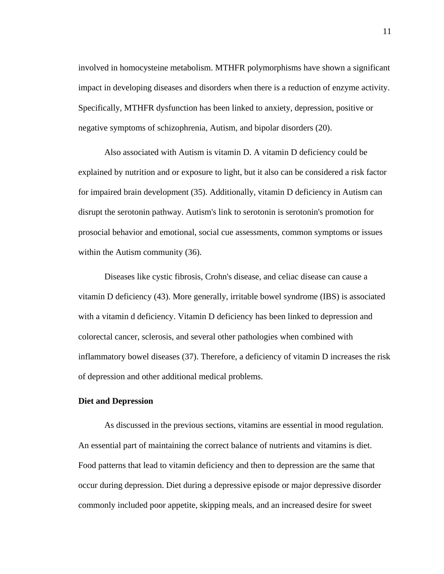involved in homocysteine metabolism. MTHFR polymorphisms have shown a significant impact in developing diseases and disorders when there is a reduction of enzyme activity. Specifically, MTHFR dysfunction has been linked to anxiety, depression, positive or negative symptoms of schizophrenia, Autism, and bipolar disorders (20).

Also associated with Autism is vitamin D. A vitamin D deficiency could be explained by nutrition and or exposure to light, but it also can be considered a risk factor for impaired brain development (35). Additionally, vitamin D deficiency in Autism can disrupt the serotonin pathway. Autism's link to serotonin is serotonin's promotion for prosocial behavior and emotional, social cue assessments, common symptoms or issues within the Autism community (36).

Diseases like cystic fibrosis, Crohn's disease, and celiac disease can cause a vitamin D deficiency (43). More generally, irritable bowel syndrome (IBS) is associated with a vitamin d deficiency. Vitamin D deficiency has been linked to depression and colorectal cancer, sclerosis, and several other pathologies when combined with inflammatory bowel diseases (37). Therefore, a deficiency of vitamin D increases the risk of depression and other additional medical problems.

#### **Diet and Depression**

As discussed in the previous sections, vitamins are essential in mood regulation. An essential part of maintaining the correct balance of nutrients and vitamins is diet. Food patterns that lead to vitamin deficiency and then to depression are the same that occur during depression. Diet during a depressive episode or major depressive disorder commonly included poor appetite, skipping meals, and an increased desire for sweet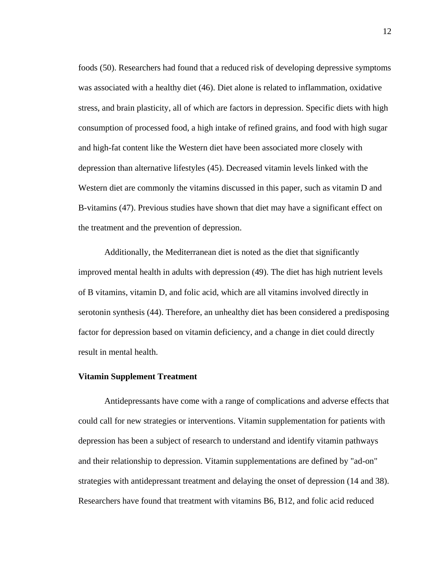foods (50). Researchers had found that a reduced risk of developing depressive symptoms was associated with a healthy diet (46). Diet alone is related to inflammation, oxidative stress, and brain plasticity, all of which are factors in depression. Specific diets with high consumption of processed food, a high intake of refined grains, and food with high sugar and high-fat content like the Western diet have been associated more closely with depression than alternative lifestyles (45). Decreased vitamin levels linked with the Western diet are commonly the vitamins discussed in this paper, such as vitamin D and B-vitamins (47). Previous studies have shown that diet may have a significant effect on the treatment and the prevention of depression.

Additionally, the Mediterranean diet is noted as the diet that significantly improved mental health in adults with depression (49). The diet has high nutrient levels of B vitamins, vitamin D, and folic acid, which are all vitamins involved directly in serotonin synthesis (44). Therefore, an unhealthy diet has been considered a predisposing factor for depression based on vitamin deficiency, and a change in diet could directly result in mental health.

#### **Vitamin Supplement Treatment**

Antidepressants have come with a range of complications and adverse effects that could call for new strategies or interventions. Vitamin supplementation for patients with depression has been a subject of research to understand and identify vitamin pathways and their relationship to depression. Vitamin supplementations are defined by "ad-on" strategies with antidepressant treatment and delaying the onset of depression (14 and 38). Researchers have found that treatment with vitamins B6, B12, and folic acid reduced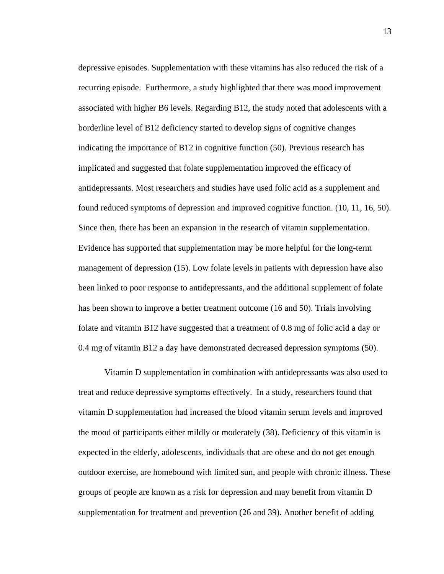depressive episodes. Supplementation with these vitamins has also reduced the risk of a recurring episode. Furthermore, a study highlighted that there was mood improvement associated with higher B6 levels. Regarding B12, the study noted that adolescents with a borderline level of B12 deficiency started to develop signs of cognitive changes indicating the importance of B12 in cognitive function (50). Previous research has implicated and suggested that folate supplementation improved the efficacy of antidepressants. Most researchers and studies have used folic acid as a supplement and found reduced symptoms of depression and improved cognitive function. (10, 11, 16, 50). Since then, there has been an expansion in the research of vitamin supplementation. Evidence has supported that supplementation may be more helpful for the long-term management of depression (15). Low folate levels in patients with depression have also been linked to poor response to antidepressants, and the additional supplement of folate has been shown to improve a better treatment outcome (16 and 50). Trials involving folate and vitamin B12 have suggested that a treatment of 0.8 mg of folic acid a day or 0.4 mg of vitamin B12 a day have demonstrated decreased depression symptoms (50).

Vitamin D supplementation in combination with antidepressants was also used to treat and reduce depressive symptoms effectively. In a study, researchers found that vitamin D supplementation had increased the blood vitamin serum levels and improved the mood of participants either mildly or moderately (38). Deficiency of this vitamin is expected in the elderly, adolescents, individuals that are obese and do not get enough outdoor exercise, are homebound with limited sun, and people with chronic illness. These groups of people are known as a risk for depression and may benefit from vitamin D supplementation for treatment and prevention (26 and 39). Another benefit of adding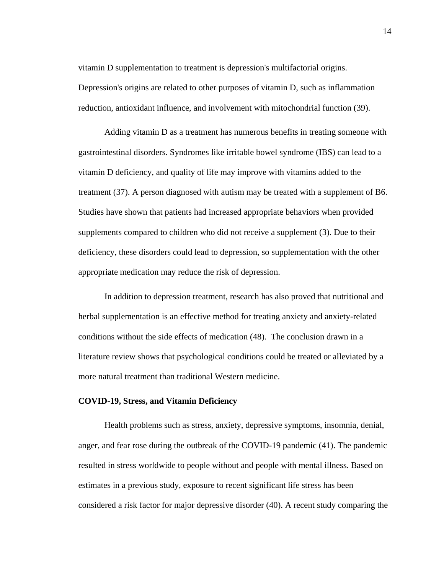vitamin D supplementation to treatment is depression's multifactorial origins. Depression's origins are related to other purposes of vitamin D, such as inflammation reduction, antioxidant influence, and involvement with mitochondrial function (39).

Adding vitamin D as a treatment has numerous benefits in treating someone with gastrointestinal disorders. Syndromes like irritable bowel syndrome (IBS) can lead to a vitamin D deficiency, and quality of life may improve with vitamins added to the treatment (37). A person diagnosed with autism may be treated with a supplement of B6. Studies have shown that patients had increased appropriate behaviors when provided supplements compared to children who did not receive a supplement (3). Due to their deficiency, these disorders could lead to depression, so supplementation with the other appropriate medication may reduce the risk of depression.

In addition to depression treatment, research has also proved that nutritional and herbal supplementation is an effective method for treating anxiety and anxiety-related conditions without the side effects of medication (48). The conclusion drawn in a literature review shows that psychological conditions could be treated or alleviated by a more natural treatment than traditional Western medicine.

#### **COVID-19, Stress, and Vitamin Deficiency**

Health problems such as stress, anxiety, depressive symptoms, insomnia, denial, anger, and fear rose during the outbreak of the COVID-19 pandemic (41). The pandemic resulted in stress worldwide to people without and people with mental illness. Based on estimates in a previous study, exposure to recent significant life stress has been considered a risk factor for major depressive disorder (40). A recent study comparing the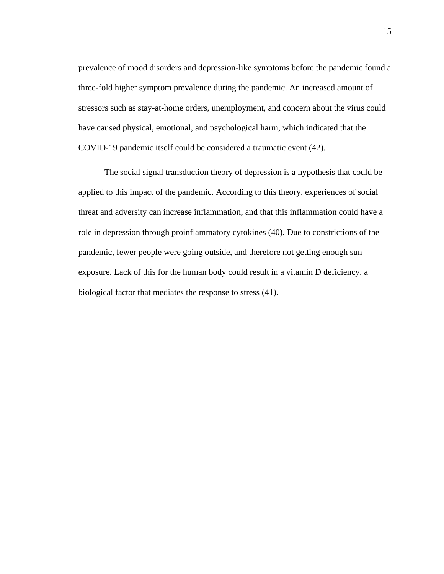prevalence of mood disorders and depression-like symptoms before the pandemic found a three-fold higher symptom prevalence during the pandemic. An increased amount of stressors such as stay-at-home orders, unemployment, and concern about the virus could have caused physical, emotional, and psychological harm, which indicated that the COVID-19 pandemic itself could be considered a traumatic event (42).

The social signal transduction theory of depression is a hypothesis that could be applied to this impact of the pandemic. According to this theory, experiences of social threat and adversity can increase inflammation, and that this inflammation could have a role in depression through proinflammatory cytokines (40). Due to constrictions of the pandemic, fewer people were going outside, and therefore not getting enough sun exposure. Lack of this for the human body could result in a vitamin D deficiency, a biological factor that mediates the response to stress (41).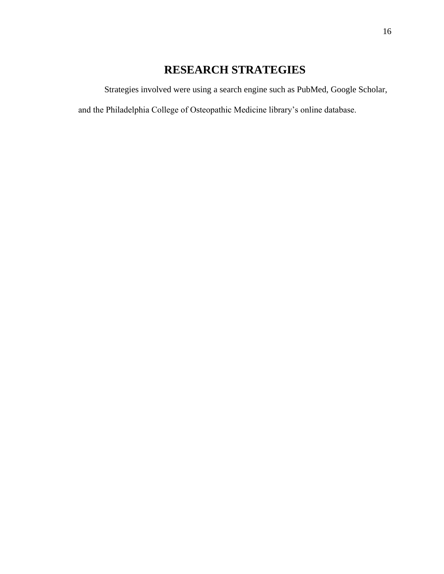# **RESEARCH STRATEGIES**

Strategies involved were using a search engine such as PubMed, Google Scholar,

and the Philadelphia College of Osteopathic Medicine library's online database.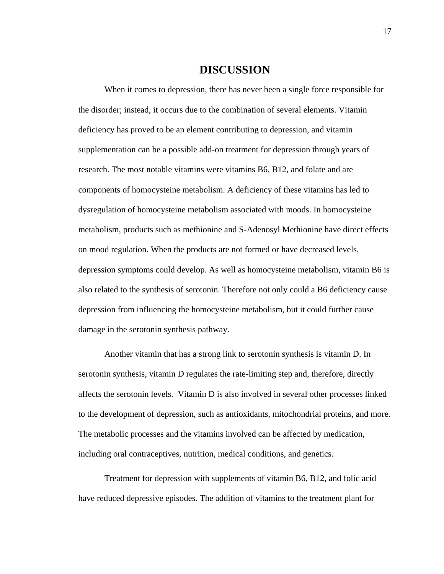### **DISCUSSION**

When it comes to depression, there has never been a single force responsible for the disorder; instead, it occurs due to the combination of several elements. Vitamin deficiency has proved to be an element contributing to depression, and vitamin supplementation can be a possible add-on treatment for depression through years of research. The most notable vitamins were vitamins B6, B12, and folate and are components of homocysteine metabolism. A deficiency of these vitamins has led to dysregulation of homocysteine metabolism associated with moods. In homocysteine metabolism, products such as methionine and S-Adenosyl Methionine have direct effects on mood regulation. When the products are not formed or have decreased levels, depression symptoms could develop. As well as homocysteine metabolism, vitamin B6 is also related to the synthesis of serotonin. Therefore not only could a B6 deficiency cause depression from influencing the homocysteine metabolism, but it could further cause damage in the serotonin synthesis pathway.

Another vitamin that has a strong link to serotonin synthesis is vitamin D. In serotonin synthesis, vitamin D regulates the rate-limiting step and, therefore, directly affects the serotonin levels. Vitamin D is also involved in several other processes linked to the development of depression, such as antioxidants, mitochondrial proteins, and more. The metabolic processes and the vitamins involved can be affected by medication, including oral contraceptives, nutrition, medical conditions, and genetics.

Treatment for depression with supplements of vitamin B6, B12, and folic acid have reduced depressive episodes. The addition of vitamins to the treatment plant for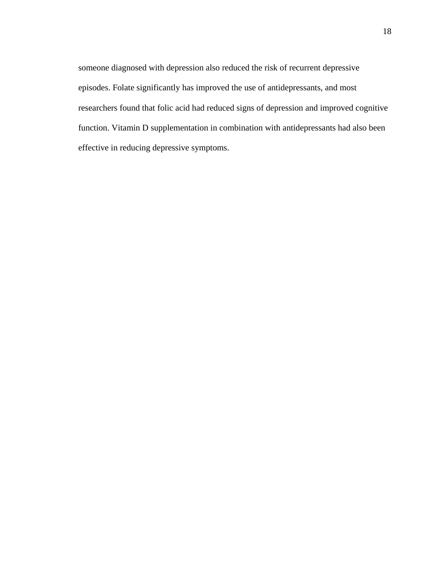someone diagnosed with depression also reduced the risk of recurrent depressive episodes. Folate significantly has improved the use of antidepressants, and most researchers found that folic acid had reduced signs of depression and improved cognitive function. Vitamin D supplementation in combination with antidepressants had also been effective in reducing depressive symptoms.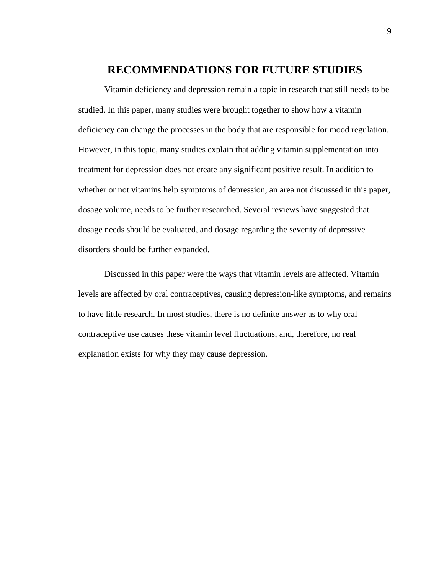### **RECOMMENDATIONS FOR FUTURE STUDIES**

Vitamin deficiency and depression remain a topic in research that still needs to be studied. In this paper, many studies were brought together to show how a vitamin deficiency can change the processes in the body that are responsible for mood regulation. However, in this topic, many studies explain that adding vitamin supplementation into treatment for depression does not create any significant positive result. In addition to whether or not vitamins help symptoms of depression, an area not discussed in this paper, dosage volume, needs to be further researched. Several reviews have suggested that dosage needs should be evaluated, and dosage regarding the severity of depressive disorders should be further expanded.

Discussed in this paper were the ways that vitamin levels are affected. Vitamin levels are affected by oral contraceptives, causing depression-like symptoms, and remains to have little research. In most studies, there is no definite answer as to why oral contraceptive use causes these vitamin level fluctuations, and, therefore, no real explanation exists for why they may cause depression.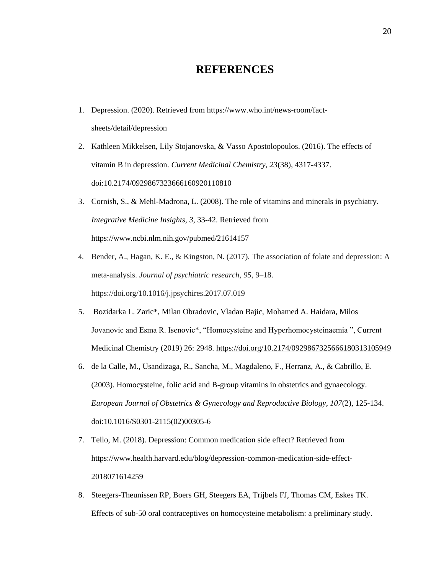# **REFERENCES**

- 1. Depression. (2020). Retrieved from [https://www.who.int/news-room/fact](https://www.who.int/news-room/fact-sheets/detail/depression)[sheets/detail/depression](https://www.who.int/news-room/fact-sheets/detail/depression)
- 2. Kathleen Mikkelsen, Lily Stojanovska, & Vasso Apostolopoulos. (2016). The effects of vitamin B in depression. *Current Medicinal Chemistry, 23*(38), 4317-4337. doi:10.2174/0929867323666160920110810
- 3. Cornish, S., & Mehl-Madrona, L. (2008). The role of vitamins and minerals in psychiatry. *Integrative Medicine Insights, 3*, 33-42. Retrieved from <https://www.ncbi.nlm.nih.gov/pubmed/21614157>
- 4. Bender, A., Hagan, K. E., & Kingston, N. (2017). The association of folate and depression: A meta-analysis. *Journal of psychiatric research*, *95*, 9–18. https://doi.org/10.1016/j.jpsychires.2017.07.019
- 5. Bozidarka L. Zaric\*, Milan Obradovic, Vladan Bajic, Mohamed A. Haidara, Milos Jovanovic and Esma R. Isenovic\*, "Homocysteine and Hyperhomocysteinaemia ", Current Medicinal Chemistry (2019) 26: 2948.<https://doi.org/10.2174/0929867325666180313105949>
- 6. de la Calle, M., Usandizaga, R., Sancha, M., Magdaleno, F., Herranz, A., & Cabrillo, E. (2003). Homocysteine, folic acid and B-group vitamins in obstetrics and gynaecology. *European Journal of Obstetrics & Gynecology and Reproductive Biology, 107*(2), 125-134. doi:10.1016/S0301-2115(02)00305-6
- 7. Tello, M. (2018). Depression: Common medication side effect? Retrieved from [https://www.health.harvard.edu/blog/depression-common-medication-side-effect-](https://www.health.harvard.edu/blog/depression-common-medication-side-effect-2018071614259)[2018071614259](https://www.health.harvard.edu/blog/depression-common-medication-side-effect-2018071614259)
- 8. Steegers-Theunissen RP, Boers GH, Steegers EA, Trijbels FJ, Thomas CM, Eskes TK. Effects of sub-50 oral contraceptives on homocysteine metabolism: a preliminary study.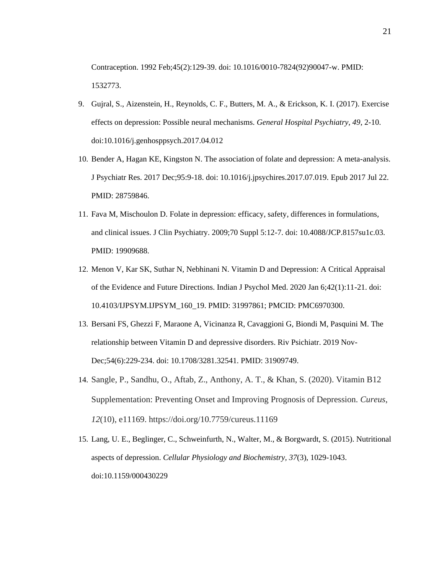Contraception. 1992 Feb;45(2):129-39. doi: 10.1016/0010-7824(92)90047-w. PMID: 1532773.

- 9. Gujral, S., Aizenstein, H., Reynolds, C. F., Butters, M. A., & Erickson, K. I. (2017). Exercise effects on depression: Possible neural mechanisms. *General Hospital Psychiatry, 49*, 2-10. doi:10.1016/j.genhosppsych.2017.04.012
- 10. Bender A, Hagan KE, Kingston N. The association of folate and depression: A meta-analysis. J Psychiatr Res. 2017 Dec;95:9-18. doi: 10.1016/j.jpsychires.2017.07.019. Epub 2017 Jul 22. PMID: 28759846.
- 11. Fava M, Mischoulon D. Folate in depression: efficacy, safety, differences in formulations, and clinical issues. J Clin Psychiatry. 2009;70 Suppl 5:12-7. doi: 10.4088/JCP.8157su1c.03. PMID: 19909688.
- 12. Menon V, Kar SK, Suthar N, Nebhinani N. Vitamin D and Depression: A Critical Appraisal of the Evidence and Future Directions. Indian J Psychol Med. 2020 Jan 6;42(1):11-21. doi: 10.4103/IJPSYM.IJPSYM\_160\_19. PMID: 31997861; PMCID: PMC6970300.
- 13. Bersani FS, Ghezzi F, Maraone A, Vicinanza R, Cavaggioni G, Biondi M, Pasquini M. The relationship between Vitamin D and depressive disorders. Riv Psichiatr. 2019 Nov-Dec;54(6):229-234. doi: 10.1708/3281.32541. PMID: 31909749.
- 14. Sangle, P., Sandhu, O., Aftab, Z., Anthony, A. T., & Khan, S. (2020). Vitamin B12 Supplementation: Preventing Onset and Improving Prognosis of Depression. *Cureus*, *12*(10), e11169. https://doi.org/10.7759/cureus.11169
- 15. Lang, U. E., Beglinger, C., Schweinfurth, N., Walter, M., & Borgwardt, S. (2015). Nutritional aspects of depression. *Cellular Physiology and Biochemistry, 37*(3), 1029-1043. doi:10.1159/000430229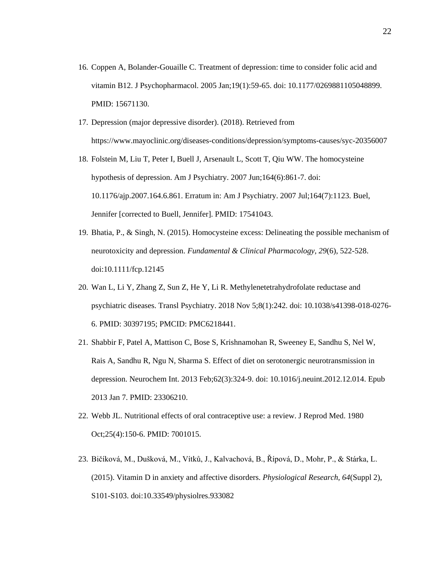- 16. Coppen A, Bolander-Gouaille C. Treatment of depression: time to consider folic acid and vitamin B12. J Psychopharmacol. 2005 Jan;19(1):59-65. doi: 10.1177/0269881105048899. PMID: 15671130.
- 17. Depression (major depressive disorder). (2018). Retrieved from <https://www.mayoclinic.org/diseases-conditions/depression/symptoms-causes/syc-20356007>
- 18. Folstein M, Liu T, Peter I, Buell J, Arsenault L, Scott T, Qiu WW. The homocysteine hypothesis of depression. Am J Psychiatry. 2007 Jun;164(6):861-7. doi: 10.1176/ajp.2007.164.6.861. Erratum in: Am J Psychiatry. 2007 Jul;164(7):1123. Buel, Jennifer [corrected to Buell, Jennifer]. PMID: 17541043.
- 19. Bhatia, P., & Singh, N. (2015). Homocysteine excess: Delineating the possible mechanism of neurotoxicity and depression. *Fundamental & Clinical Pharmacology, 29*(6), 522-528. doi:10.1111/fcp.12145
- 20. Wan L, Li Y, Zhang Z, Sun Z, He Y, Li R. Methylenetetrahydrofolate reductase and psychiatric diseases. Transl Psychiatry. 2018 Nov 5;8(1):242. doi: 10.1038/s41398-018-0276- 6. PMID: 30397195; PMCID: PMC6218441.
- 21. Shabbir F, Patel A, Mattison C, Bose S, Krishnamohan R, Sweeney E, Sandhu S, Nel W, Rais A, Sandhu R, Ngu N, Sharma S. Effect of diet on serotonergic neurotransmission in depression. Neurochem Int. 2013 Feb;62(3):324-9. doi: 10.1016/j.neuint.2012.12.014. Epub 2013 Jan 7. PMID: 23306210.
- 22. Webb JL. Nutritional effects of oral contraceptive use: a review. J Reprod Med. 1980 Oct;25(4):150-6. PMID: 7001015.
- 23. Bičíková, M., Dušková, M., Vítků, J., Kalvachová, B., Řípová, D., Mohr, P., & Stárka, L. (2015). Vitamin D in anxiety and affective disorders. *Physiological Research, 64*(Suppl 2), S101-S103. doi:10.33549/physiolres.933082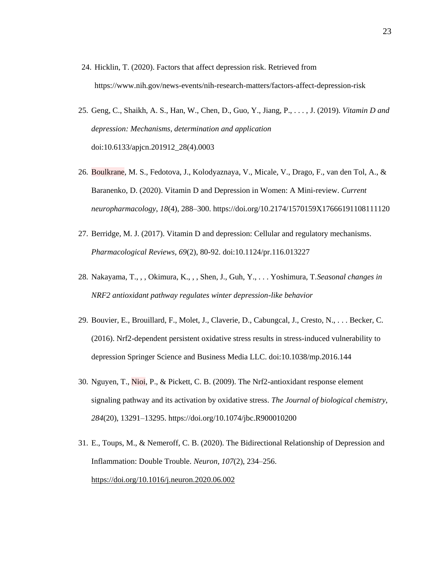- 24. Hicklin, T. (2020). Factors that affect depression risk. Retrieved from <https://www.nih.gov/news-events/nih-research-matters/factors-affect-depression-risk>
- 25. Geng, C., Shaikh, A. S., Han, W., Chen, D., Guo, Y., Jiang, P., . . . , J. (2019). *Vitamin D and depression: Mechanisms, determination and application* doi:10.6133/apjcn.201912\_28(4).0003
- 26. Boulkrane, M. S., Fedotova, J., Kolodyaznaya, V., Micale, V., Drago, F., van den Tol, A., & Baranenko, D. (2020). Vitamin D and Depression in Women: A Mini-review. *Current neuropharmacology*, *18*(4), 288–300. https://doi.org/10.2174/1570159X17666191108111120
- 27. Berridge, M. J. (2017). Vitamin D and depression: Cellular and regulatory mechanisms. *Pharmacological Reviews, 69*(2), 80-92. doi:10.1124/pr.116.013227
- 28. Nakayama, T., , , Okimura, K., , , Shen, J., Guh, Y., . . . Yoshimura, T.*Seasonal changes in NRF2 antioxidant pathway regulates winter depression-like behavior*
- 29. Bouvier, E., Brouillard, F., Molet, J., Claverie, D., Cabungcal, J., Cresto, N., . . . Becker, C. (2016). Nrf2-dependent persistent oxidative stress results in stress-induced vulnerability to depression Springer Science and Business Media LLC. doi:10.1038/mp.2016.144
- 30. Nguyen, T., Nioi, P., & Pickett, C. B. (2009). The Nrf2-antioxidant response element signaling pathway and its activation by oxidative stress. *The Journal of biological chemistry*, *284*(20), 13291–13295. https://doi.org/10.1074/jbc.R900010200
- 31. E., Toups, M., & Nemeroff, C. B. (2020). The Bidirectional Relationship of Depression and Inflammation: Double Trouble. *Neuron*, *107*(2), 234–256. <https://doi.org/10.1016/j.neuron.2020.06.002>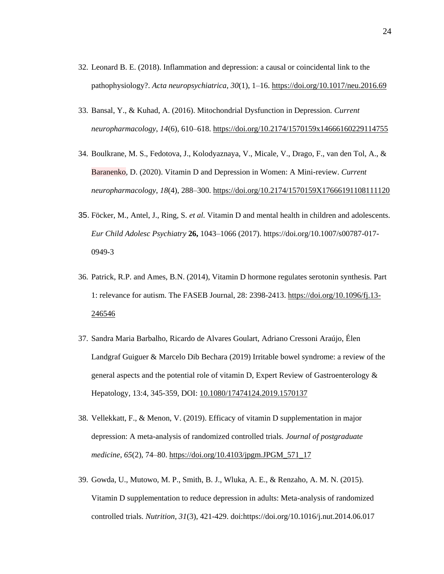- 32. Leonard B. E. (2018). Inflammation and depression: a causal or coincidental link to the pathophysiology?. *Acta neuropsychiatrica*, *30*(1), 1–16.<https://doi.org/10.1017/neu.2016.69>
- 33. Bansal, Y., & Kuhad, A. (2016). Mitochondrial Dysfunction in Depression. *Current neuropharmacology*, *14*(6), 610–618.<https://doi.org/10.2174/1570159x14666160229114755>
- 34. Boulkrane, M. S., Fedotova, J., Kolodyaznaya, V., Micale, V., Drago, F., van den Tol, A., & Baranenko, D. (2020). Vitamin D and Depression in Women: A Mini-review. *Current neuropharmacology*, *18*(4), 288–300.<https://doi.org/10.2174/1570159X17666191108111120>
- 35. Föcker, M., Antel, J., Ring, S. *et al.* Vitamin D and mental health in children and adolescents. *Eur Child Adolesc Psychiatry* **26,** 1043–1066 (2017). https://doi.org/10.1007/s00787-017- 0949-3
- 36. Patrick, R.P. and Ames, B.N. (2014), Vitamin D hormone regulates serotonin synthesis. Part 1: relevance for autism. The FASEB Journal, 28: 2398-2413. [https://doi.org/10.1096/fj.13-](https://doi.org/10.1096/fj.13-246546) [246546](https://doi.org/10.1096/fj.13-246546)
- 37. Sandra Maria Barbalho, Ricardo de Alvares Goulart, Adriano Cressoni Araújo, Élen Landgraf Guiguer & Marcelo Dib Bechara (2019) Irritable bowel syndrome: a review of the general aspects and the potential role of vitamin D, Expert Review of Gastroenterology  $\&$ Hepatology, 13:4, 345-359, DOI: [10.1080/17474124.2019.1570137](https://doi.org/10.1080/17474124.2019.1570137)
- 38. Vellekkatt, F., & Menon, V. (2019). Efficacy of vitamin D supplementation in major depression: A meta-analysis of randomized controlled trials. *Journal of postgraduate medicine*, *65*(2), 74–80. [https://doi.org/10.4103/jpgm.JPGM\\_571\\_17](https://doi.org/10.4103/jpgm.JPGM_571_17)
- 39. Gowda, U., Mutowo, M. P., Smith, B. J., Wluka, A. E., & Renzaho, A. M. N. (2015). Vitamin D supplementation to reduce depression in adults: Meta-analysis of randomized controlled trials. *Nutrition, 31*(3), 421-429. doi[:https://doi.org/10.1016/j.nut.2014.06.017](https://doi.org/10.1016/j.nut.2014.06.017)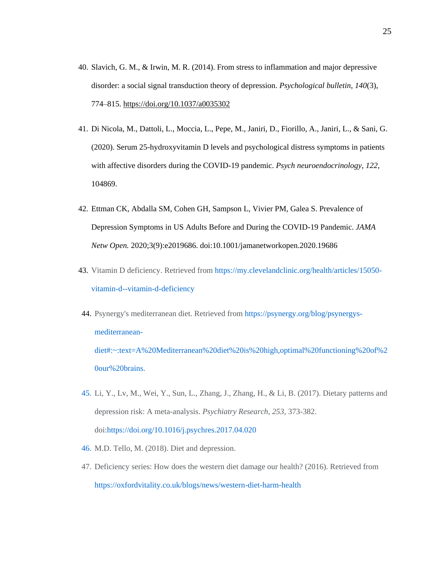- 40. Slavich, G. M., & Irwin, M. R. (2014). From stress to inflammation and major depressive disorder: a social signal transduction theory of depression. *Psychological bulletin*, *140*(3), 774–815.<https://doi.org/10.1037/a0035302>
- 41. Di Nicola, M., Dattoli, L., Moccia, L., Pepe, M., Janiri, D., Fiorillo, A., Janiri, L., & Sani, G. (2020). Serum 25-hydroxyvitamin D levels and psychological distress symptoms in patients with affective disorders during the COVID-19 pandemic. *Psych neuroendocrinology*, *122*, 104869.
- 42. Ettman CK, Abdalla SM, Cohen GH, Sampson L, Vivier PM, Galea S. Prevalence of Depression Symptoms in US Adults Before and During the COVID-19 Pandemic. *JAMA Netw Open.* 2020;3(9):e2019686. doi:10.1001/jamanetworkopen.2020.19686
- 43. Vitamin D deficiency. Retrieved from [https://my.clevelandclinic.org/health/articles/15050](https://my.clevelandclinic.org/health/articles/15050-vitamin-d--vitamin-d-deficiency) [vitamin-d--vitamin-d-deficiency](https://my.clevelandclinic.org/health/articles/15050-vitamin-d--vitamin-d-deficiency)
- 44. Psynergy's mediterranean diet. Retrieved from [https://psynergy.org/blog/psynergys](https://psynergy.org/blog/psynergys-mediterranean-diet#:~:text=A%20Mediterranean%20diet%20is%20high,optimal%20functioning%20of%20our%20brains.)[mediterranean](https://psynergy.org/blog/psynergys-mediterranean-diet#:~:text=A%20Mediterranean%20diet%20is%20high,optimal%20functioning%20of%20our%20brains.)[diet#:~:text=A%20Mediterranean%20diet%20is%20high,optimal%20functioning%20of%2](https://psynergy.org/blog/psynergys-mediterranean-diet#:~:text=A%20Mediterranean%20diet%20is%20high,optimal%20functioning%20of%20our%20brains.) [0our%20brains.](https://psynergy.org/blog/psynergys-mediterranean-diet#:~:text=A%20Mediterranean%20diet%20is%20high,optimal%20functioning%20of%20our%20brains.)
- 45. Li, Y., Lv, M., Wei, Y., Sun, L., Zhang, J., Zhang, H., & Li, B. (2017). Dietary patterns and depression risk: A meta-analysis. *Psychiatry Research, 253*, 373-382. doi[:https://doi.org/10.1016/j.psychres.2017.04.020](https://doi.org/10.1016/j.psychres.2017.04.020)
- 46. M.D. Tello, M. (2018). Diet and depression.
- 47. Deficiency series: How does the western diet damage our health? (2016). Retrieved from <https://oxfordvitality.co.uk/blogs/news/western-diet-harm-health>